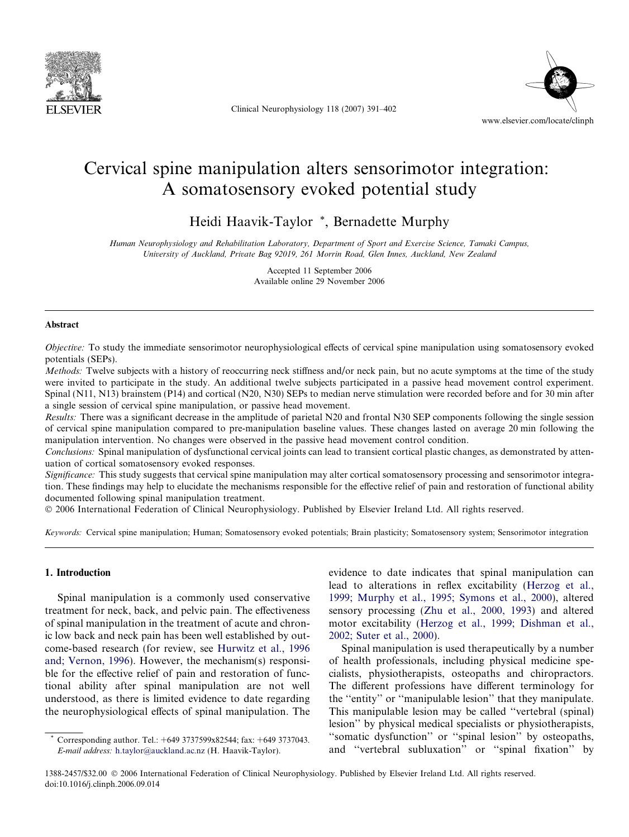

Clinical Neurophysiology 118 (2007) 391–402

www.elsevier.com/locate/clinph

# Cervical spine manipulation alters sensorimotor integration: A somatosensory evoked potential study

Heidi Haavik-Taylor \*, Bernadette Murphy

Human Neurophysiology and Rehabilitation Laboratory, Department of Sport and Exercise Science, Tamaki Campus, University of Auckland, Private Bag 92019, 261 Morrin Road, Glen Innes, Auckland, New Zealand

> Accepted 11 September 2006 Available online 29 November 2006

## Abstract

Objective: To study the immediate sensorimotor neurophysiological effects of cervical spine manipulation using somatosensory evoked potentials (SEPs).

Methods: Twelve subjects with a history of reoccurring neck stiffness and/or neck pain, but no acute symptoms at the time of the study were invited to participate in the study. An additional twelve subjects participated in a passive head movement control experiment. Spinal (N11, N13) brainstem (P14) and cortical (N20, N30) SEPs to median nerve stimulation were recorded before and for 30 min after a single session of cervical spine manipulation, or passive head movement.

Results: There was a significant decrease in the amplitude of parietal N20 and frontal N30 SEP components following the single session of cervical spine manipulation compared to pre-manipulation baseline values. These changes lasted on average 20 min following the manipulation intervention. No changes were observed in the passive head movement control condition.

Conclusions: Spinal manipulation of dysfunctional cervical joints can lead to transient cortical plastic changes, as demonstrated by attenuation of cortical somatosensory evoked responses.

Significance: This study suggests that cervical spine manipulation may alter cortical somatosensory processing and sensorimotor integration. These findings may help to elucidate the mechanisms responsible for the effective relief of pain and restoration of functional ability documented following spinal manipulation treatment.

- 2006 International Federation of Clinical Neurophysiology. Published by Elsevier Ireland Ltd. All rights reserved.

Keywords: Cervical spine manipulation; Human; Somatosensory evoked potentials; Brain plasticity; Somatosensory system; Sensorimotor integration

## 1. Introduction

Spinal manipulation is a commonly used conservative treatment for neck, back, and pelvic pain. The effectiveness of spinal manipulation in the treatment of acute and chronic low back and neck pain has been well established by outcome-based research (for review, see [Hurwitz et al., 1996](#page-10-0) [and; Vernon, 1996\)](#page-10-0). However, the mechanism(s) responsible for the effective relief of pain and restoration of functional ability after spinal manipulation are not well understood, as there is limited evidence to date regarding the neurophysiological effects of spinal manipulation. The evidence to date indicates that spinal manipulation can lead to alterations in reflex excitability ([Herzog et al.,](#page-10-0) [1999; Murphy et al., 1995; Symons et al., 2000\)](#page-10-0), altered sensory processing ([Zhu et al., 2000, 1993\)](#page-11-0) and altered motor excitability ([Herzog et al., 1999; Dishman et al.,](#page-10-0) [2002; Suter et al., 2000\)](#page-10-0).

Spinal manipulation is used therapeutically by a number of health professionals, including physical medicine specialists, physiotherapists, osteopaths and chiropractors. The different professions have different terminology for the ''entity'' or ''manipulable lesion'' that they manipulate. This manipulable lesion may be called ''vertebral (spinal) lesion'' by physical medical specialists or physiotherapists, ''somatic dysfunction'' or ''spinal lesion'' by osteopaths, and ''vertebral subluxation'' or ''spinal fixation'' by

<sup>\*</sup> Corresponding author. Tel.: +649 3737599x82544; fax: +649 3737043. E-mail address: [h.taylor@auckland.ac.nz](mailto:h.taylor@auckland.ac.nz) (H. Haavik-Taylor).

<sup>1388-2457/\$32.00 © 2006</sup> International Federation of Clinical Neurophysiology. Published by Elsevier Ireland Ltd. All rights reserved. doi:10.1016/j.clinph.2006.09.014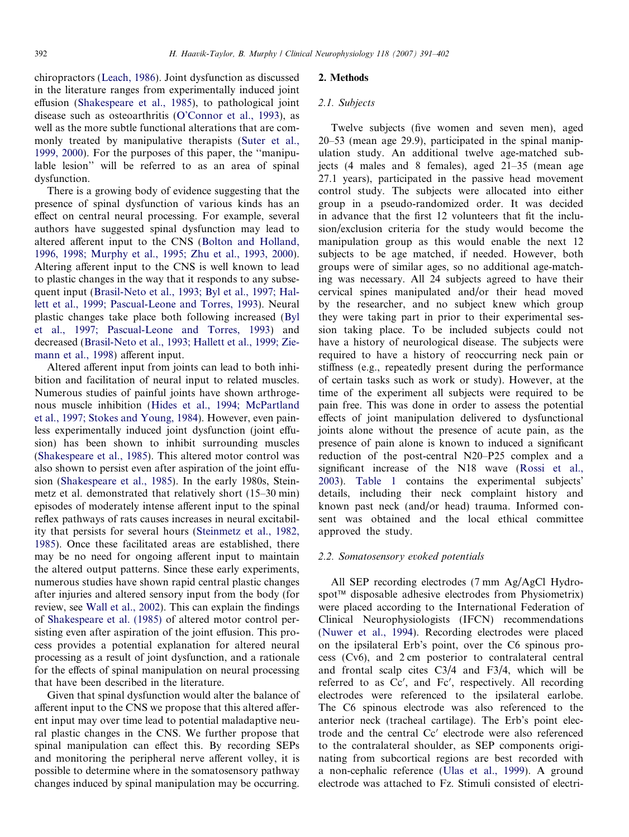chiropractors ([Leach, 1986](#page-10-0)). Joint dysfunction as discussed in the literature ranges from experimentally induced joint effusion ([Shakespeare et al., 1985\)](#page-11-0), to pathological joint disease such as osteoarthritis ([O'Connor et al., 1993\)](#page-10-0), as well as the more subtle functional alterations that are commonly treated by manipulative therapists ([Suter et al.,](#page-11-0) [1999, 2000\)](#page-11-0). For the purposes of this paper, the ''manipulable lesion'' will be referred to as an area of spinal dysfunction.

There is a growing body of evidence suggesting that the presence of spinal dysfunction of various kinds has an effect on central neural processing. For example, several authors have suggested spinal dysfunction may lead to altered afferent input to the CNS [\(Bolton and Holland,](#page-10-0) [1996, 1998; Murphy et al., 1995; Zhu et al., 1993, 2000\)](#page-10-0). Altering afferent input to the CNS is well known to lead to plastic changes in the way that it responds to any subsequent input ([Brasil-Neto et al., 1993; Byl et al., 1997; Hal](#page-10-0)[lett et al., 1999; Pascual-Leone and Torres, 1993](#page-10-0)). Neural plastic changes take place both following increased [\(Byl](#page-10-0) [et al., 1997; Pascual-Leone and Torres, 1993\)](#page-10-0) and decreased ([Brasil-Neto et al., 1993; Hallett et al., 1999; Zie](#page-10-0)[mann et al., 1998\)](#page-10-0) afferent input.

Altered afferent input from joints can lead to both inhibition and facilitation of neural input to related muscles. Numerous studies of painful joints have shown arthrogenous muscle inhibition [\(Hides et al., 1994; McPartland](#page-10-0) [et al., 1997; Stokes and Young, 1984\)](#page-10-0). However, even painless experimentally induced joint dysfunction (joint effusion) has been shown to inhibit surrounding muscles [\(Shakespeare et al., 1985\)](#page-11-0). This altered motor control was also shown to persist even after aspiration of the joint effusion ([Shakespeare et al., 1985](#page-11-0)). In the early 1980s, Steinmetz et al. demonstrated that relatively short (15–30 min) episodes of moderately intense afferent input to the spinal reflex pathways of rats causes increases in neural excitability that persists for several hours [\(Steinmetz et al., 1982,](#page-11-0) [1985\)](#page-11-0). Once these facilitated areas are established, there may be no need for ongoing afferent input to maintain the altered output patterns. Since these early experiments, numerous studies have shown rapid central plastic changes after injuries and altered sensory input from the body (for review, see [Wall et al., 2002\)](#page-11-0). This can explain the findings of [Shakespeare et al. \(1985\)](#page-11-0) of altered motor control persisting even after aspiration of the joint effusion. This process provides a potential explanation for altered neural processing as a result of joint dysfunction, and a rationale for the effects of spinal manipulation on neural processing that have been described in the literature.

Given that spinal dysfunction would alter the balance of afferent input to the CNS we propose that this altered afferent input may over time lead to potential maladaptive neural plastic changes in the CNS. We further propose that spinal manipulation can effect this. By recording SEPs and monitoring the peripheral nerve afferent volley, it is possible to determine where in the somatosensory pathway changes induced by spinal manipulation may be occurring.

## 2. Methods

#### 2.1. Subjects

Twelve subjects (five women and seven men), aged 20–53 (mean age 29.9), participated in the spinal manipulation study. An additional twelve age-matched subjects (4 males and 8 females), aged 21–35 (mean age 27.1 years), participated in the passive head movement control study. The subjects were allocated into either group in a pseudo-randomized order. It was decided in advance that the first 12 volunteers that fit the inclusion/exclusion criteria for the study would become the manipulation group as this would enable the next 12 subjects to be age matched, if needed. However, both groups were of similar ages, so no additional age-matching was necessary. All 24 subjects agreed to have their cervical spines manipulated and/or their head moved by the researcher, and no subject knew which group they were taking part in prior to their experimental session taking place. To be included subjects could not have a history of neurological disease. The subjects were required to have a history of reoccurring neck pain or stiffness (e.g., repeatedly present during the performance of certain tasks such as work or study). However, at the time of the experiment all subjects were required to be pain free. This was done in order to assess the potential effects of joint manipulation delivered to dysfunctional joints alone without the presence of acute pain, as the presence of pain alone is known to induced a significant reduction of the post-central N20–P25 complex and a significant increase of the N18 wave [\(Rossi et al.,](#page-11-0) [2003\)](#page-11-0). [Table 1](#page-2-0) contains the experimental subjects' details, including their neck complaint history and known past neck (and/or head) trauma. Informed consent was obtained and the local ethical committee approved the study.

### 2.2. Somatosensory evoked potentials

All SEP recording electrodes (7 mm Ag/AgCl Hydrospot™ disposable adhesive electrodes from Physiometrix) were placed according to the International Federation of Clinical Neurophysiologists (IFCN) recommendations [\(Nuwer et al., 1994](#page-10-0)). Recording electrodes were placed on the ipsilateral Erb's point, over the C6 spinous process (Cv6), and 2 cm posterior to contralateral central and frontal scalp cites C3/4 and F3/4, which will be referred to as Cc', and Fc', respectively. All recording electrodes were referenced to the ipsilateral earlobe. The C6 spinous electrode was also referenced to the anterior neck (tracheal cartilage). The Erb's point electrode and the central Cc' electrode were also referenced to the contralateral shoulder, as SEP components originating from subcortical regions are best recorded with a non-cephalic reference ([Ulas et al., 1999\)](#page-11-0). A ground electrode was attached to Fz. Stimuli consisted of electri-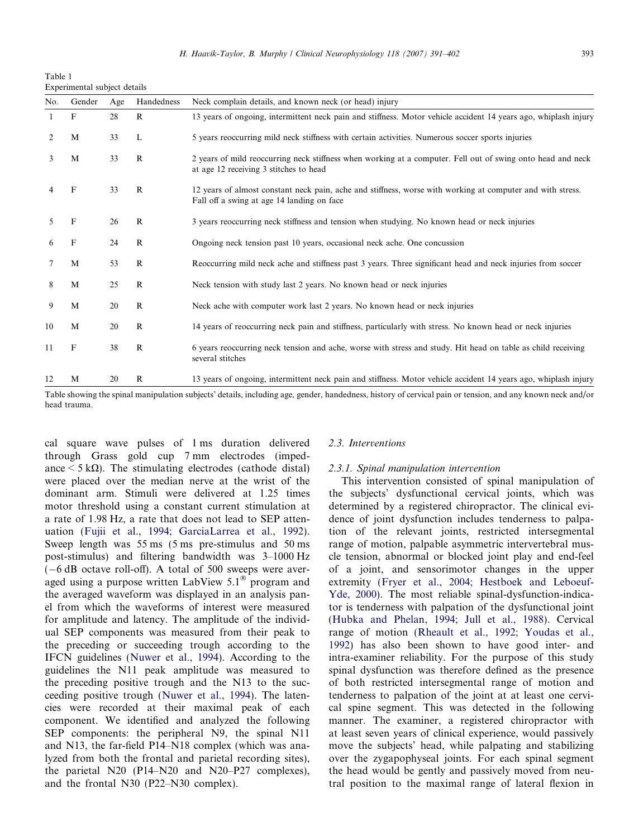<span id="page-2-0"></span>Table 1 Experimental subject details

| No. | Gender       | Age | Handedness   | Neck complain details, and known neck (or head) injury                                                                                                   |  |  |  |  |  |  |  |  |
|-----|--------------|-----|--------------|----------------------------------------------------------------------------------------------------------------------------------------------------------|--|--|--|--|--|--|--|--|
|     | F            | 28  | $\mathbf R$  | 13 years of ongoing, intermittent neck pain and stiffness. Motor vehicle accident 14 years ago, whiplash injury                                          |  |  |  |  |  |  |  |  |
| 2   | M            | 33  | L            | 5 years reoccurring mild neck stiffness with certain activities. Numerous soccer sports injuries                                                         |  |  |  |  |  |  |  |  |
| 3   | M            | 33  | $\mathbf R$  | 2 years of mild reoccurring neck stiffness when working at a computer. Fell out of swing onto head and neck<br>at age 12 receiving 3 stitches to head    |  |  |  |  |  |  |  |  |
|     | F            | 33  | $\mathbb{R}$ | 12 years of almost constant neck pain, ache and stiffness, worse with working at computer and with stress.<br>Fall off a swing at age 14 landing on face |  |  |  |  |  |  |  |  |
| 5   | $\mathbf{F}$ | 26  | $\mathbf R$  | 3 years reoccurring neck stiffness and tension when studying. No known head or neck injuries                                                             |  |  |  |  |  |  |  |  |
| 6   | $\mathbf F$  | 24  | $\mathbf R$  | Ongoing neck tension past 10 years, occasional neck ache. One concussion                                                                                 |  |  |  |  |  |  |  |  |
|     | M            | 53  | $\mathbf R$  | Reoccurring mild neck ache and stiffness past 3 years. Three significant head and neck injuries from soccer                                              |  |  |  |  |  |  |  |  |
| 8   | M            | 25  | $\mathbf R$  | Neck tension with study last 2 years. No known head or neck injuries                                                                                     |  |  |  |  |  |  |  |  |
| 9   | M            | 20  | $\mathbf R$  | Neck ache with computer work last 2 years. No known head or neck injuries                                                                                |  |  |  |  |  |  |  |  |
| 10  | M            | 20  | $\mathbf R$  | 14 years of reoccurring neck pain and stiffness, particularly with stress. No known head or neck injuries                                                |  |  |  |  |  |  |  |  |
| 11  | F            | 38  | $\mathbf R$  | 6 years reoccurring neck tension and ache, worse with stress and study. Hit head on table as child receiving<br>several stitches                         |  |  |  |  |  |  |  |  |
| 12  | M            | 20  | $\mathbb{R}$ | 13 years of ongoing, intermittent neck pain and stiffness. Motor vehicle accident 14 years ago, whiplash injury                                          |  |  |  |  |  |  |  |  |

Table showing the spinal manipulation subjects' details, including age, gender, handedness, history of cervical pain or tension, and any known neck and/or head trauma.

cal square wave pulses of 1 ms duration delivered through Grass gold cup 7 mm electrodes (impedance  $\leq$  5 k $\Omega$ ). The stimulating electrodes (cathode distal) were placed over the median nerve at the wrist of the dominant arm. Stimuli were delivered at 1.25 times motor threshold using a constant current stimulation at a rate of 1.98 Hz, a rate that does not lead to SEP attenuation ([Fujii et al., 1994; GarciaLarrea et al., 1992\)](#page-10-0). Sweep length was 55 ms (5 ms pre-stimulus and 50 ms post-stimulus) and filtering bandwidth was 3–1000 Hz (-6 dB octave roll-off). A total of 500 sweeps were averaged using a purpose written LabView  $5.1^\circ$  program and the averaged waveform was displayed in an analysis panel from which the waveforms of interest were measured for amplitude and latency. The amplitude of the individual SEP components was measured from their peak to the preceding or succeeding trough according to the IFCN guidelines [\(Nuwer et al., 1994](#page-10-0)). According to the guidelines the N11 peak amplitude was measured to the preceding positive trough and the N13 to the succeeding positive trough [\(Nuwer et al., 1994](#page-10-0)). The latencies were recorded at their maximal peak of each component. We identified and analyzed the following SEP components: the peripheral N9, the spinal N11 and N13, the far-field P14–N18 complex (which was analyzed from both the frontal and parietal recording sites), the parietal N20 (P14–N20 and N20–P27 complexes), and the frontal N30 (P22–N30 complex).

#### 2.3. Interventions

#### 2.3.1. Spinal manipulation intervention

This intervention consisted of spinal manipulation of the subjects' dysfunctional cervical joints, which was determined by a registered chiropractor. The clinical evidence of joint dysfunction includes tenderness to palpation of the relevant joints, restricted intersegmental range of motion, palpable asymmetric intervertebral muscle tension, abnormal or blocked joint play and end-feel of a joint, and sensorimotor changes in the upper extremity [\(Fryer et al., 2004; Hestboek and Leboeuf-](#page-10-0)[Yde, 2000\)](#page-10-0). The most reliable spinal-dysfunction-indicator is tenderness with palpation of the dysfunctional joint ([Hubka and Phelan, 1994; Jull et al., 1988](#page-10-0)). Cervical range of motion ([Rheault et al., 1992; Youdas et al.,](#page-11-0) [1992](#page-11-0)) has also been shown to have good inter- and intra-examiner reliability. For the purpose of this study spinal dysfunction was therefore defined as the presence of both restricted intersegmental range of motion and tenderness to palpation of the joint at at least one cervical spine segment. This was detected in the following manner. The examiner, a registered chiropractor with at least seven years of clinical experience, would passively move the subjects' head, while palpating and stabilizing over the zygapophyseal joints. For each spinal segment the head would be gently and passively moved from neutral position to the maximal range of lateral flexion in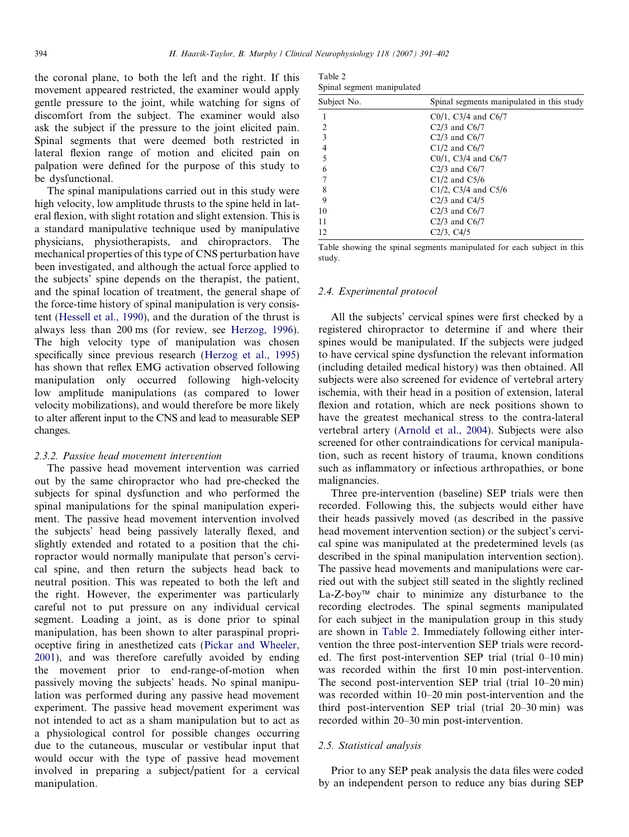<span id="page-3-0"></span>the coronal plane, to both the left and the right. If this movement appeared restricted, the examiner would apply gentle pressure to the joint, while watching for signs of discomfort from the subject. The examiner would also ask the subject if the pressure to the joint elicited pain. Spinal segments that were deemed both restricted in lateral flexion range of motion and elicited pain on palpation were defined for the purpose of this study to be dysfunctional.

The spinal manipulations carried out in this study were high velocity, low amplitude thrusts to the spine held in lateral flexion, with slight rotation and slight extension. This is a standard manipulative technique used by manipulative physicians, physiotherapists, and chiropractors. The mechanical properties of this type of CNS perturbation have been investigated, and although the actual force applied to the subjects' spine depends on the therapist, the patient, and the spinal location of treatment, the general shape of the force-time history of spinal manipulation is very consistent ([Hessell et al., 1990\)](#page-10-0), and the duration of the thrust is always less than 200 ms (for review, see [Herzog, 1996\)](#page-10-0). The high velocity type of manipulation was chosen specifically since previous research ([Herzog et al., 1995](#page-10-0)) has shown that reflex EMG activation observed following manipulation only occurred following high-velocity low amplitude manipulations (as compared to lower velocity mobilizations), and would therefore be more likely to alter afferent input to the CNS and lead to measurable SEP changes.

# 2.3.2. Passive head movement intervention

The passive head movement intervention was carried out by the same chiropractor who had pre-checked the subjects for spinal dysfunction and who performed the spinal manipulations for the spinal manipulation experiment. The passive head movement intervention involved the subjects' head being passively laterally flexed, and slightly extended and rotated to a position that the chiropractor would normally manipulate that person's cervical spine, and then return the subjects head back to neutral position. This was repeated to both the left and the right. However, the experimenter was particularly careful not to put pressure on any individual cervical segment. Loading a joint, as is done prior to spinal manipulation, has been shown to alter paraspinal proprioceptive firing in anesthetized cats [\(Pickar and Wheeler,](#page-11-0) [2001\)](#page-11-0), and was therefore carefully avoided by ending the movement prior to end-range-of-motion when passively moving the subjects' heads. No spinal manipulation was performed during any passive head movement experiment. The passive head movement experiment was not intended to act as a sham manipulation but to act as a physiological control for possible changes occurring due to the cutaneous, muscular or vestibular input that would occur with the type of passive head movement involved in preparing a subject/patient for a cervical manipulation.

| Table 2 |                            |
|---------|----------------------------|
|         | Spinal segment manipulated |

| Subject No. | Spinal segments manipulated in this study |
|-------------|-------------------------------------------|
|             | $C0/1$ , C3/4 and C6/7                    |
|             | $C2/3$ and $C6/7$                         |
|             | $C2/3$ and $C6/7$                         |
|             | $C1/2$ and $C6/7$                         |
| 5           | $C0/1$ , C3/4 and C6/7                    |
| 6           | $C2/3$ and $C6/7$                         |
|             | $C1/2$ and $C5/6$                         |
| 8           | $C1/2$ , $C3/4$ and $C5/6$                |
| 9           | $C2/3$ and $C4/5$                         |
| 10          | $C2/3$ and $C6/7$                         |
| 11          | $C2/3$ and $C6/7$                         |
| 12          | $C2/3$ , $C4/5$                           |

Table showing the spinal segments manipulated for each subject in this study.

## 2.4. Experimental protocol

All the subjects' cervical spines were first checked by a registered chiropractor to determine if and where their spines would be manipulated. If the subjects were judged to have cervical spine dysfunction the relevant information (including detailed medical history) was then obtained. All subjects were also screened for evidence of vertebral artery ischemia, with their head in a position of extension, lateral flexion and rotation, which are neck positions shown to have the greatest mechanical stress to the contra-lateral vertebral artery [\(Arnold et al., 2004\)](#page-10-0). Subjects were also screened for other contraindications for cervical manipulation, such as recent history of trauma, known conditions such as inflammatory or infectious arthropathies, or bone malignancies.

Three pre-intervention (baseline) SEP trials were then recorded. Following this, the subjects would either have their heads passively moved (as described in the passive head movement intervention section) or the subject's cervical spine was manipulated at the predetermined levels (as described in the spinal manipulation intervention section). The passive head movements and manipulations were carried out with the subject still seated in the slightly reclined  $La-Z-boy^{\pi}$  chair to minimize any disturbance to the recording electrodes. The spinal segments manipulated for each subject in the manipulation group in this study are shown in Table 2. Immediately following either intervention the three post-intervention SEP trials were recorded. The first post-intervention SEP trial (trial 0–10 min) was recorded within the first 10 min post-intervention. The second post-intervention SEP trial (trial 10–20 min) was recorded within 10–20 min post-intervention and the third post-intervention SEP trial (trial 20–30 min) was recorded within 20–30 min post-intervention.

# 2.5. Statistical analysis

Prior to any SEP peak analysis the data files were coded by an independent person to reduce any bias during SEP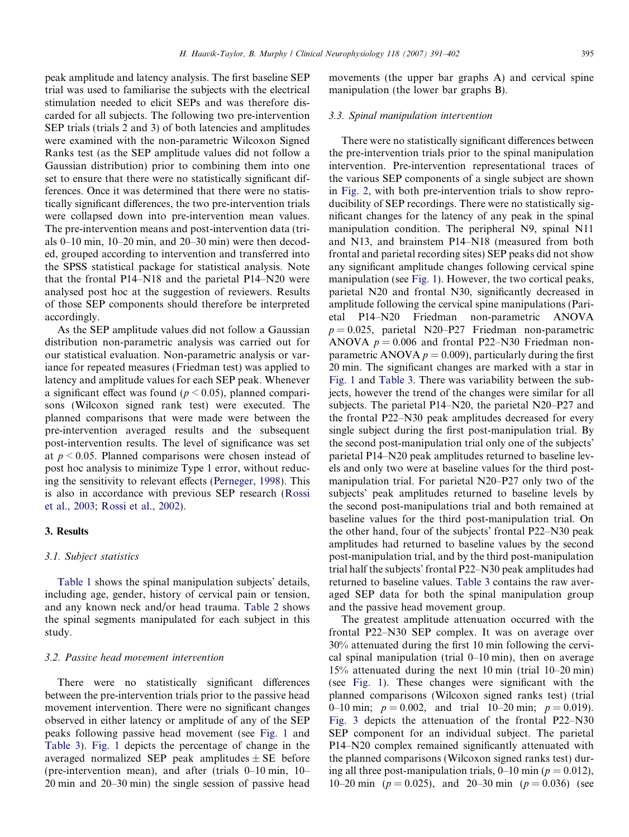peak amplitude and latency analysis. The first baseline SEP trial was used to familiarise the subjects with the electrical stimulation needed to elicit SEPs and was therefore discarded for all subjects. The following two pre-intervention SEP trials (trials 2 and 3) of both latencies and amplitudes were examined with the non-parametric Wilcoxon Signed Ranks test (as the SEP amplitude values did not follow a Gaussian distribution) prior to combining them into one set to ensure that there were no statistically significant differences. Once it was determined that there were no statistically significant differences, the two pre-intervention trials were collapsed down into pre-intervention mean values. The pre-intervention means and post-intervention data (trials 0–10 min, 10–20 min, and 20–30 min) were then decoded, grouped according to intervention and transferred into the SPSS statistical package for statistical analysis. Note that the frontal P14–N18 and the parietal P14–N20 were analysed post hoc at the suggestion of reviewers. Results of those SEP components should therefore be interpreted accordingly.

As the SEP amplitude values did not follow a Gaussian distribution non-parametric analysis was carried out for our statistical evaluation. Non-parametric analysis or variance for repeated measures (Friedman test) was applied to latency and amplitude values for each SEP peak. Whenever a significant effect was found ( $p \le 0.05$ ), planned comparisons (Wilcoxon signed rank test) were executed. The planned comparisons that were made were between the pre-intervention averaged results and the subsequent post-intervention results. The level of significance was set at  $p \le 0.05$ . Planned comparisons were chosen instead of post hoc analysis to minimize Type 1 error, without reducing the sensitivity to relevant effects [\(Perneger, 1998\)](#page-10-0). This is also in accordance with previous SEP research ([Rossi](#page-11-0) [et al., 2003;](#page-11-0) [Rossi et al., 2002](#page-11-0)).

#### 3. Results

#### 3.1. Subject statistics

[Table 1](#page-2-0) shows the spinal manipulation subjects' details, including age, gender, history of cervical pain or tension, and any known neck and/or head trauma. [Table 2](#page-3-0) shows the spinal segments manipulated for each subject in this study.

## 3.2. Passive head movement intervention

There were no statistically significant differences between the pre-intervention trials prior to the passive head movement intervention. There were no significant changes observed in either latency or amplitude of any of the SEP peaks following passive head movement (see [Fig. 1](#page-5-0) and [Table 3](#page-6-0)). [Fig. 1](#page-5-0) depicts the percentage of change in the averaged normalized SEP peak amplitudes  $\pm$  SE before (pre-intervention mean), and after (trials 0–10 min, 10– 20 min and 20–30 min) the single session of passive head movements (the upper bar graphs A) and cervical spine manipulation (the lower bar graphs B).

## 3.3. Spinal manipulation intervention

There were no statistically significant differences between the pre-intervention trials prior to the spinal manipulation intervention. Pre-intervention representational traces of the various SEP components of a single subject are shown in [Fig. 2,](#page-6-0) with both pre-intervention trials to show reproducibility of SEP recordings. There were no statistically significant changes for the latency of any peak in the spinal manipulation condition. The peripheral N9, spinal N11 and N13, and brainstem P14–N18 (measured from both frontal and parietal recording sites) SEP peaks did not show any significant amplitude changes following cervical spine manipulation (see [Fig. 1](#page-5-0)). However, the two cortical peaks, parietal N20 and frontal N30, significantly decreased in amplitude following the cervical spine manipulations (Parietal P14–N20 Friedman non-parametric ANOVA  $p = 0.025$ , parietal N20–P27 Friedman non-parametric ANOVA  $p = 0.006$  and frontal P22–N30 Friedman nonparametric ANOVA  $p = 0.009$ ), particularly during the first 20 min. The significant changes are marked with a star in [Fig. 1](#page-5-0) and [Table 3](#page-6-0). There was variability between the subjects, however the trend of the changes were similar for all subjects. The parietal P14–N20, the parietal N20–P27 and the frontal P22–N30 peak amplitudes decreased for every single subject during the first post-manipulation trial. By the second post-manipulation trial only one of the subjects' parietal P14–N20 peak amplitudes returned to baseline levels and only two were at baseline values for the third postmanipulation trial. For parietal N20–P27 only two of the subjects' peak amplitudes returned to baseline levels by the second post-manipulations trial and both remained at baseline values for the third post-manipulation trial. On the other hand, four of the subjects' frontal P22–N30 peak amplitudes had returned to baseline values by the second post-manipulation trial, and by the third post-manipulation trial half the subjects' frontal P22–N30 peak amplitudes had returned to baseline values. [Table 3](#page-6-0) contains the raw averaged SEP data for both the spinal manipulation group and the passive head movement group.

The greatest amplitude attenuation occurred with the frontal P22–N30 SEP complex. It was on average over 30% attenuated during the first 10 min following the cervical spinal manipulation (trial 0–10 min), then on average 15% attenuated during the next 10 min (trial 10–20 min) (see [Fig. 1\)](#page-5-0). These changes were significant with the planned comparisons (Wilcoxon signed ranks test) (trial 0–10 min;  $p = 0.002$ , and trial 10–20 min;  $p = 0.019$ ). [Fig. 3](#page-7-0) depicts the attenuation of the frontal P22–N30 SEP component for an individual subject. The parietal P14–N20 complex remained significantly attenuated with the planned comparisons (Wilcoxon signed ranks test) during all three post-manipulation trials,  $0-10$  min ( $p = 0.012$ ), 10–20 min ( $p = 0.025$ ), and 20–30 min ( $p = 0.036$ ) (see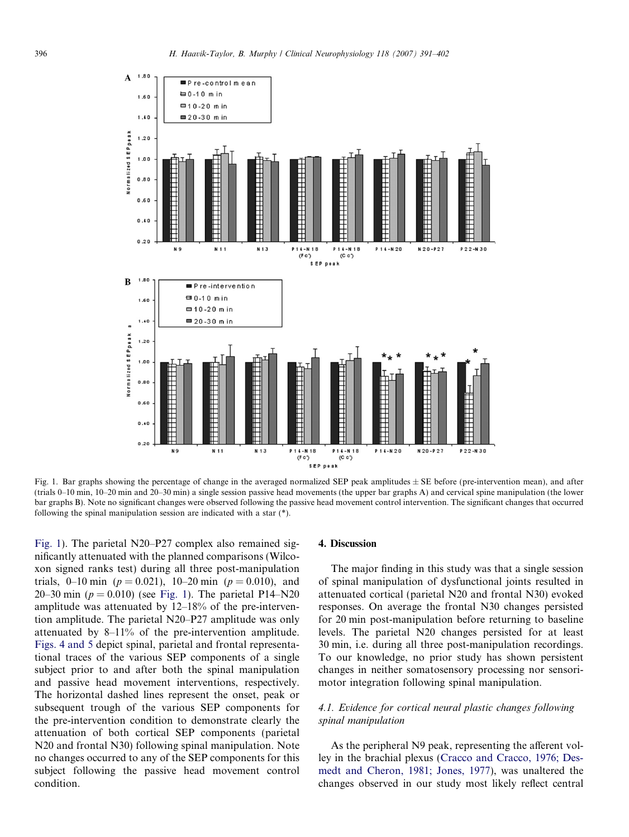<span id="page-5-0"></span>

Fig. 1. Bar graphs showing the percentage of change in the averaged normalized SEP peak amplitudes ± SE before (pre-intervention mean), and after (trials 0–10 min, 10–20 min and 20–30 min) a single session passive head movements (the upper bar graphs A) and cervical spine manipulation (the lower bar graphs B). Note no significant changes were observed following the passive head movement control intervention. The significant changes that occurred following the spinal manipulation session are indicated with a star (\*).

Fig. 1). The parietal N20–P27 complex also remained significantly attenuated with the planned comparisons (Wilcoxon signed ranks test) during all three post-manipulation trials, 0–10 min ( $p = 0.021$ ), 10–20 min ( $p = 0.010$ ), and 20–30 min ( $p = 0.010$ ) (see Fig. 1). The parietal P14–N20 amplitude was attenuated by 12–18% of the pre-intervention amplitude. The parietal N20–P27 amplitude was only attenuated by 8–11% of the pre-intervention amplitude. [Figs. 4 and 5](#page-7-0) depict spinal, parietal and frontal representational traces of the various SEP components of a single subject prior to and after both the spinal manipulation and passive head movement interventions, respectively. The horizontal dashed lines represent the onset, peak or subsequent trough of the various SEP components for the pre-intervention condition to demonstrate clearly the attenuation of both cortical SEP components (parietal N20 and frontal N30) following spinal manipulation. Note no changes occurred to any of the SEP components for this subject following the passive head movement control condition.

#### 4. Discussion

The major finding in this study was that a single session of spinal manipulation of dysfunctional joints resulted in attenuated cortical (parietal N20 and frontal N30) evoked responses. On average the frontal N30 changes persisted for 20 min post-manipulation before returning to baseline levels. The parietal N20 changes persisted for at least 30 min, i.e. during all three post-manipulation recordings. To our knowledge, no prior study has shown persistent changes in neither somatosensory processing nor sensorimotor integration following spinal manipulation.

# 4.1. Evidence for cortical neural plastic changes following spinal manipulation

As the peripheral N9 peak, representing the afferent volley in the brachial plexus [\(Cracco and Cracco, 1976; Des](#page-10-0)[medt and Cheron, 1981; Jones, 1977](#page-10-0)), was unaltered the changes observed in our study most likely reflect central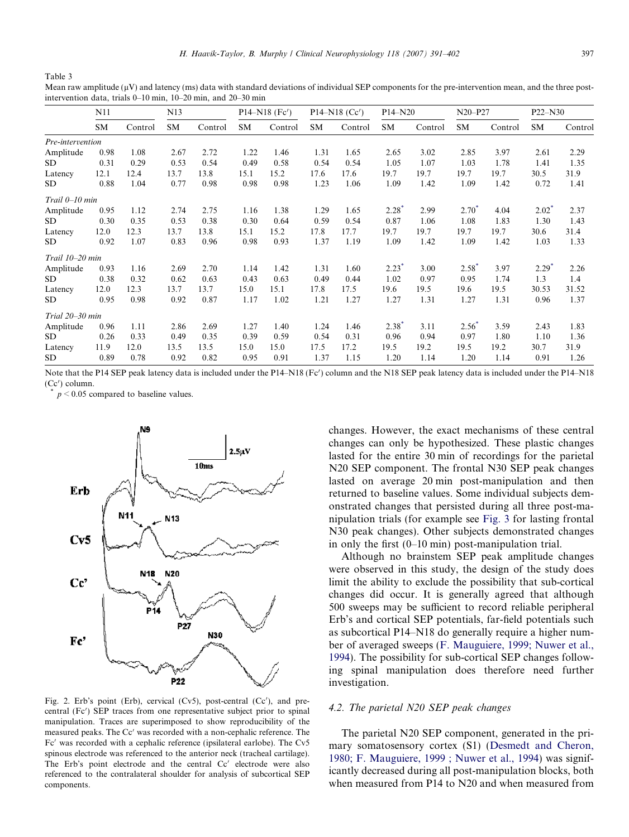<span id="page-6-0"></span>Table 3

Mean raw amplitude  $(uV)$  and latency (ms) data with standard deviations of individual SEP components for the pre-intervention mean, and the three postintervention data, trials 0–10 min, 10–20 min, and 20–30 min

|                  | N11       |         | N13       |         | $P14 - N18$ (Fc') |         | $P14 - N18$ (Cc') |         | $P14 - N20$       |         | $N20 - P27$      |         | P22-N30   |         |
|------------------|-----------|---------|-----------|---------|-------------------|---------|-------------------|---------|-------------------|---------|------------------|---------|-----------|---------|
|                  | <b>SM</b> | Control | <b>SM</b> | Control | <b>SM</b>         | Control | <b>SM</b>         | Control | SM                | Control | <b>SM</b>        | Control | <b>SM</b> | Control |
| Pre-intervention |           |         |           |         |                   |         |                   |         |                   |         |                  |         |           |         |
| Amplitude        | 0.98      | 1.08    | 2.67      | 2.72    | 1.22              | 1.46    | 1.31              | 1.65    | 2.65              | 3.02    | 2.85             | 3.97    | 2.61      | 2.29    |
| SD.              | 0.31      | 0.29    | 0.53      | 0.54    | 0.49              | 0.58    | 0.54              | 0.54    | 1.05              | 1.07    | 1.03             | 1.78    | 1.41      | 1.35    |
| Latency          | 12.1      | 12.4    | 13.7      | 13.8    | 15.1              | 15.2    | 17.6              | 17.6    | 19.7              | 19.7    | 19.7             | 19.7    | 30.5      | 31.9    |
| SD.              | 0.88      | 1.04    | 0.77      | 0.98    | 0.98              | 0.98    | 1.23              | 1.06    | 1.09              | 1.42    | 1.09             | 1.42    | 0.72      | 1.41    |
| Trail 0-10 min   |           |         |           |         |                   |         |                   |         |                   |         |                  |         |           |         |
| Amplitude        | 0.95      | 1.12    | 2.74      | 2.75    | 1.16              | 1.38    | 1.29              | 1.65    | $2.28*$           | 2.99    | $2.70*$          | 4.04    | $2.02*$   | 2.37    |
| SD.              | 0.30      | 0.35    | 0.53      | 0.38    | 0.30              | 0.64    | 0.59              | 0.54    | 0.87              | 1.06    | 1.08             | 1.83    | 1.30      | 1.43    |
| Latency          | 12.0      | 12.3    | 13.7      | 13.8    | 15.1              | 15.2    | 17.8              | 17.7    | 19.7              | 19.7    | 19.7             | 19.7    | 30.6      | 31.4    |
| SD               | 0.92      | 1.07    | 0.83      | 0.96    | 0.98              | 0.93    | 1.37              | 1.19    | 1.09              | 1.42    | 1.09             | 1.42    | 1.03      | 1.33    |
| Trail 10-20 min  |           |         |           |         |                   |         |                   |         |                   |         |                  |         |           |         |
| Amplitude        | 0.93      | 1.16    | 2.69      | 2.70    | 1.14              | 1.42    | 1.31              | 1.60    | $2.23*$           | 3.00    | $2.58*$          | 3.97    | $2.29*$   | 2.26    |
| SD <sub>1</sub>  | 0.38      | 0.32    | 0.62      | 0.63    | 0.43              | 0.63    | 0.49              | 0.44    | 1.02              | 0.97    | 0.95             | 1.74    | 1.3       | 1.4     |
| Latency          | 12.0      | 12.3    | 13.7      | 13.7    | 15.0              | 15.1    | 17.8              | 17.5    | 19.6              | 19.5    | 19.6             | 19.5    | 30.53     | 31.52   |
| SD               | 0.95      | 0.98    | 0.92      | 0.87    | 1.17              | 1.02    | 1.21              | 1.27    | 1.27              | 1.31    | 1.27             | 1.31    | 0.96      | 1.37    |
| Trial 20-30 min  |           |         |           |         |                   |         |                   |         |                   |         |                  |         |           |         |
| Amplitude        | 0.96      | 1.11    | 2.86      | 2.69    | 1.27              | 1.40    | 1.24              | 1.46    | $2.38^{^{\circ}}$ | 3.11    | $2.56^{\degree}$ | 3.59    | 2.43      | 1.83    |
| SD.              | 0.26      | 0.33    | 0.49      | 0.35    | 0.39              | 0.59    | 0.54              | 0.31    | 0.96              | 0.94    | 0.97             | 1.80    | 1.10      | 1.36    |
| Latency          | 11.9      | 12.0    | 13.5      | 13.5    | 15.0              | 15.0    | 17.5              | 17.2    | 19.5              | 19.2    | 19.5             | 19.2    | 30.7      | 31.9    |
| SD.              | 0.89      | 0.78    | 0.92      | 0.82    | 0.95              | 0.91    | 1.37              | 1.15    | 1.20              | 1.14    | 1.20             | 1.14    | 0.91      | 1.26    |

Note that the P14 SEP peak latency data is included under the P14–N18 (Fc') column and the N18 SEP peak latency data is included under the P14–N18 (Cc') column.

 $p \leq 0.05$  compared to baseline values.



Fig. 2. Erb's point (Erb), cervical  $(Cv5)$ , post-central  $(Cc')$ , and precentral (Fc') SEP traces from one representative subject prior to spinal manipulation. Traces are superimposed to show reproducibility of the measured peaks. The Cc' was recorded with a non-cephalic reference. The Fc' was recorded with a cephalic reference (ipsilateral earlobe). The Cv5 spinous electrode was referenced to the anterior neck (tracheal cartilage). The Erb's point electrode and the central Cc<sup>'</sup> electrode were also referenced to the contralateral shoulder for analysis of subcortical SEP components.

changes. However, the exact mechanisms of these central changes can only be hypothesized. These plastic changes lasted for the entire 30 min of recordings for the parietal N20 SEP component. The frontal N30 SEP peak changes lasted on average 20 min post-manipulation and then returned to baseline values. Some individual subjects demonstrated changes that persisted during all three post-manipulation trials (for example see [Fig. 3](#page-7-0) for lasting frontal N30 peak changes). Other subjects demonstrated changes in only the first (0–10 min) post-manipulation trial.

Although no brainstem SEP peak amplitude changes were observed in this study, the design of the study does limit the ability to exclude the possibility that sub-cortical changes did occur. It is generally agreed that although 500 sweeps may be sufficient to record reliable peripheral Erb's and cortical SEP potentials, far-field potentials such as subcortical P14–N18 do generally require a higher number of averaged sweeps ([F. Mauguiere, 1999; Nuwer et al.,](#page-10-0) [1994](#page-10-0)). The possibility for sub-cortical SEP changes following spinal manipulation does therefore need further investigation.

## 4.2. The parietal N20 SEP peak changes

The parietal N20 SEP component, generated in the primary somatosensory cortex (S1) ([Desmedt and Cheron,](#page-10-0) [1980; F. Mauguiere, 1999 ; Nuwer et al., 1994](#page-10-0)) was significantly decreased during all post-manipulation blocks, both when measured from P14 to N20 and when measured from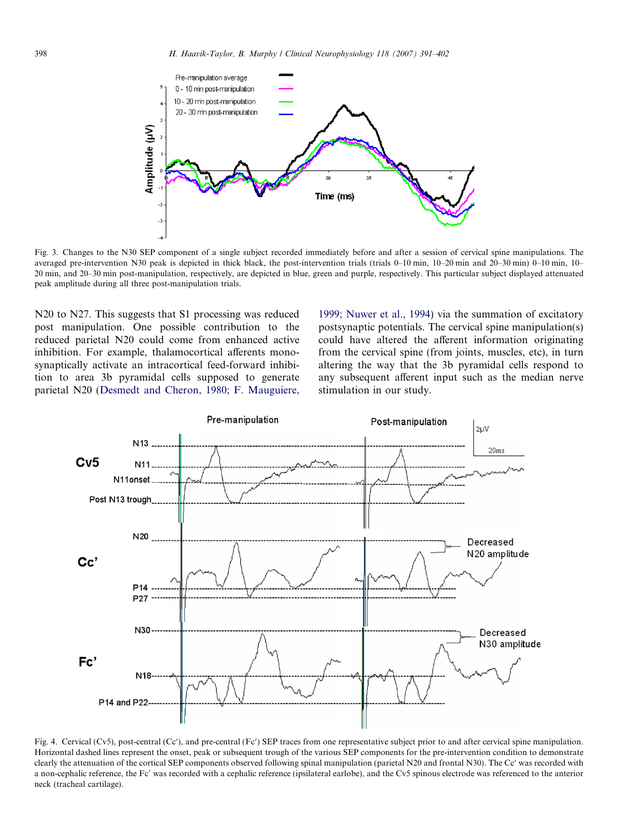<span id="page-7-0"></span>

Fig. 3. Changes to the N30 SEP component of a single subject recorded immediately before and after a session of cervical spine manipulations. The averaged pre-intervention N30 peak is depicted in thick black, the post-intervention trials (trials 0–10 min, 10–20 min and 20–30 min) 0–10 min, 10– 20 min, and 20–30 min post-manipulation, respectively, are depicted in blue, green and purple, respectively. This particular subject displayed attenuated peak amplitude during all three post-manipulation trials.

N20 to N27. This suggests that S1 processing was reduced post manipulation. One possible contribution to the reduced parietal N20 could come from enhanced active inhibition. For example, thalamocortical afferents monosynaptically activate an intracortical feed-forward inhibition to area 3b pyramidal cells supposed to generate parietal N20 ([Desmedt and Cheron, 1980; F. Mauguiere,](#page-10-0) [1999; Nuwer et al., 1994\)](#page-10-0) via the summation of excitatory postsynaptic potentials. The cervical spine manipulation(s) could have altered the afferent information originating from the cervical spine (from joints, muscles, etc), in turn altering the way that the 3b pyramidal cells respond to any subsequent afferent input such as the median nerve stimulation in our study.



Fig. 4. Cervical (Cv5), post-central (Cc'), and pre-central (Fc') SEP traces from one representative subject prior to and after cervical spine manipulation. Horizontal dashed lines represent the onset, peak or subsequent trough of the various SEP components for the pre-intervention condition to demonstrate clearly the attenuation of the cortical SEP components observed following spinal manipulation (parietal N20 and frontal N30). The Cc' was recorded with a non-cephalic reference, the Fc' was recorded with a cephalic reference (ipsilateral earlobe), and the Cv5 spinous electrode was referenced to the anterior neck (tracheal cartilage).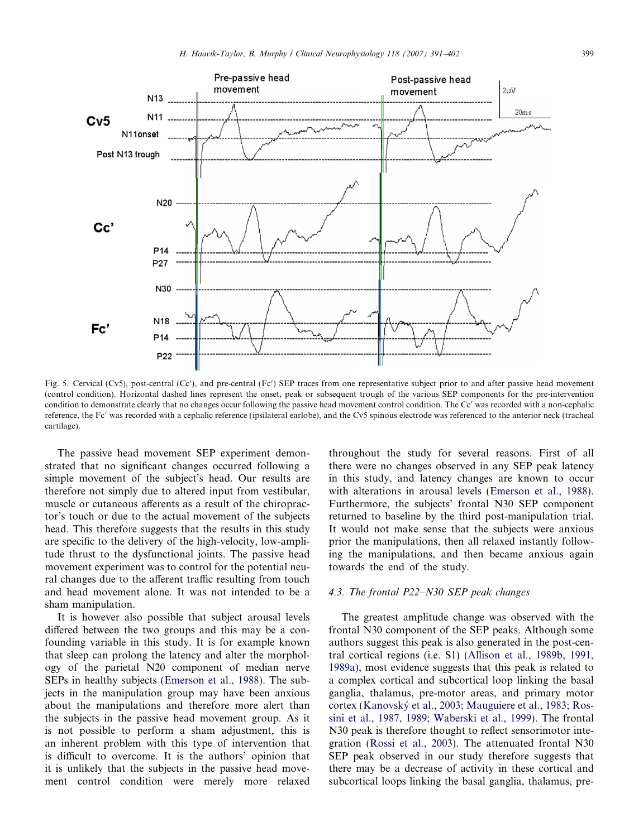

Fig. 5. Cervical (Cv5), post-central (Cc'), and pre-central (Fc') SEP traces from one representative subject prior to and after passive head movement (control condition). Horizontal dashed lines represent the onset, peak or subsequent trough of the various SEP components for the pre-intervention condition to demonstrate clearly that no changes occur following the passive head movement control condition. The Cc' was recorded with a non-cephalic reference, the Fc' was recorded with a cephalic reference (ipsilateral earlobe), and the Cv5 spinous electrode was referenced to the anterior neck (tracheal cartilage).

The passive head movement SEP experiment demonstrated that no significant changes occurred following a simple movement of the subject's head. Our results are therefore not simply due to altered input from vestibular, muscle or cutaneous afferents as a result of the chiropractor's touch or due to the actual movement of the subjects head. This therefore suggests that the results in this study are specific to the delivery of the high-velocity, low-amplitude thrust to the dysfunctional joints. The passive head movement experiment was to control for the potential neural changes due to the afferent traffic resulting from touch and head movement alone. It was not intended to be a sham manipulation.

It is however also possible that subject arousal levels differed between the two groups and this may be a confounding variable in this study. It is for example known that sleep can prolong the latency and alter the morphology of the parietal N20 component of median nerve SEPs in healthy subjects ([Emerson et al., 1988](#page-10-0)). The subjects in the manipulation group may have been anxious about the manipulations and therefore more alert than the subjects in the passive head movement group. As it is not possible to perform a sham adjustment, this is an inherent problem with this type of intervention that is difficult to overcome. It is the authors' opinion that it is unlikely that the subjects in the passive head movement control condition were merely more relaxed throughout the study for several reasons. First of all there were no changes observed in any SEP peak latency in this study, and latency changes are known to occur with alterations in arousal levels [\(Emerson et al., 1988\)](#page-10-0). Furthermore, the subjects' frontal N30 SEP component returned to baseline by the third post-manipulation trial. It would not make sense that the subjects were anxious prior the manipulations, then all relaxed instantly following the manipulations, and then became anxious again towards the end of the study.

## 4.3. The frontal P22–N30 SEP peak changes

The greatest amplitude change was observed with the frontal N30 component of the SEP peaks. Although some authors suggest this peak is also generated in the post-central cortical regions (i.e. S1) [\(Allison et al., 1989b, 1991,](#page-9-0) [1989a](#page-9-0)), most evidence suggests that this peak is related to a complex cortical and subcortical loop linking the basal ganglia, thalamus, pre-motor areas, and primary motor cortex (Kanovsky´ [et al., 2003; Mauguiere et al., 1983; Ros](#page-10-0)[sini et al., 1987, 1989; Waberski et al., 1999](#page-10-0)). The frontal N30 peak is therefore thought to reflect sensorimotor integration [\(Rossi et al., 2003\)](#page-11-0). The attenuated frontal N30 SEP peak observed in our study therefore suggests that there may be a decrease of activity in these cortical and subcortical loops linking the basal ganglia, thalamus, pre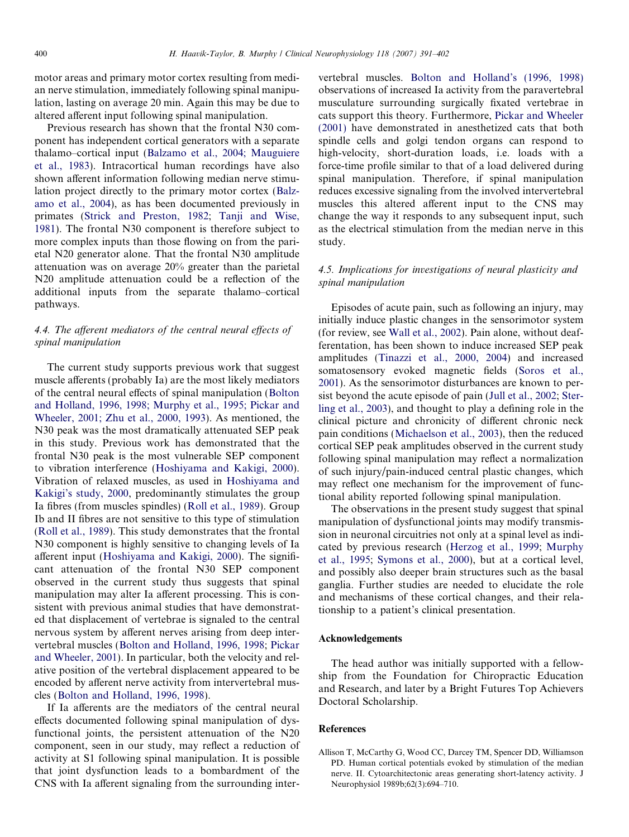<span id="page-9-0"></span>motor areas and primary motor cortex resulting from median nerve stimulation, immediately following spinal manipulation, lasting on average 20 min. Again this may be due to altered afferent input following spinal manipulation.

Previous research has shown that the frontal N30 component has independent cortical generators with a separate thalamo–cortical input [\(Balzamo et al., 2004; Mauguiere](#page-10-0) [et al., 1983\)](#page-10-0). Intracortical human recordings have also shown afferent information following median nerve stimulation project directly to the primary motor cortex ([Balz](#page-10-0)[amo et al., 2004\)](#page-10-0), as has been documented previously in primates ([Strick and Preston, 1982;](#page-11-0) [Tanji and Wise,](#page-11-0) [1981\)](#page-11-0). The frontal N30 component is therefore subject to more complex inputs than those flowing on from the parietal N20 generator alone. That the frontal N30 amplitude attenuation was on average 20% greater than the parietal N20 amplitude attenuation could be a reflection of the additional inputs from the separate thalamo–cortical pathways.

# 4.4. The afferent mediators of the central neural effects of spinal manipulation

The current study supports previous work that suggest muscle afferents (probably Ia) are the most likely mediators of the central neural effects of spinal manipulation ([Bolton](#page-10-0) [and Holland, 1996, 1998; Murphy et al., 1995; Pickar and](#page-10-0) [Wheeler, 2001; Zhu et al., 2000, 1993\)](#page-10-0). As mentioned, the N30 peak was the most dramatically attenuated SEP peak in this study. Previous work has demonstrated that the frontal N30 peak is the most vulnerable SEP component to vibration interference [\(Hoshiyama and Kakigi, 2000\)](#page-10-0). Vibration of relaxed muscles, as used in [Hoshiyama and](#page-10-0) [Kakigi's study, 2000,](#page-10-0) predominantly stimulates the group Ia fibres (from muscles spindles) ([Roll et al., 1989](#page-11-0)). Group Ib and II fibres are not sensitive to this type of stimulation [\(Roll et al., 1989](#page-11-0)). This study demonstrates that the frontal N30 component is highly sensitive to changing levels of Ia afferent input ([Hoshiyama and Kakigi, 2000](#page-10-0)). The significant attenuation of the frontal N30 SEP component observed in the current study thus suggests that spinal manipulation may alter Ia afferent processing. This is consistent with previous animal studies that have demonstrated that displacement of vertebrae is signaled to the central nervous system by afferent nerves arising from deep intervertebral muscles ([Bolton and Holland, 1996, 1998;](#page-10-0) [Pickar](#page-11-0) [and Wheeler, 2001](#page-11-0)). In particular, both the velocity and relative position of the vertebral displacement appeared to be encoded by afferent nerve activity from intervertebral muscles ([Bolton and Holland, 1996, 1998\)](#page-10-0).

If Ia afferents are the mediators of the central neural effects documented following spinal manipulation of dysfunctional joints, the persistent attenuation of the N20 component, seen in our study, may reflect a reduction of activity at S1 following spinal manipulation. It is possible that joint dysfunction leads to a bombardment of the CNS with Ia afferent signaling from the surrounding intervertebral muscles. [Bolton and Holland's \(1996, 1998\)](#page-10-0) observations of increased Ia activity from the paravertebral musculature surrounding surgically fixated vertebrae in cats support this theory. Furthermore, [Pickar and Wheeler](#page-11-0) [\(2001\)](#page-11-0) have demonstrated in anesthetized cats that both spindle cells and golgi tendon organs can respond to high-velocity, short-duration loads, i.e. loads with a force-time profile similar to that of a load delivered during spinal manipulation. Therefore, if spinal manipulation reduces excessive signaling from the involved intervertebral muscles this altered afferent input to the CNS may change the way it responds to any subsequent input, such as the electrical stimulation from the median nerve in this study.

## 4.5. Implications for investigations of neural plasticity and spinal manipulation

Episodes of acute pain, such as following an injury, may initially induce plastic changes in the sensorimotor system (for review, see [Wall et al., 2002\)](#page-11-0). Pain alone, without deafferentation, has been shown to induce increased SEP peak amplitudes [\(Tinazzi et al., 2000, 2004](#page-11-0)) and increased somatosensory evoked magnetic fields [\(Soros et al.,](#page-11-0) [2001\)](#page-11-0). As the sensorimotor disturbances are known to persist beyond the acute episode of pain [\(Jull et al., 2002](#page-10-0); [Ster](#page-11-0)[ling et al., 2003](#page-11-0)), and thought to play a defining role in the clinical picture and chronicity of different chronic neck pain conditions ([Michaelson et al., 2003\)](#page-10-0), then the reduced cortical SEP peak amplitudes observed in the current study following spinal manipulation may reflect a normalization of such injury/pain-induced central plastic changes, which may reflect one mechanism for the improvement of functional ability reported following spinal manipulation.

The observations in the present study suggest that spinal manipulation of dysfunctional joints may modify transmission in neuronal circuitries not only at a spinal level as indicated by previous research [\(Herzog et al., 1999;](#page-10-0) [Murphy](#page-10-0) [et al., 1995;](#page-10-0) [Symons et al., 2000\)](#page-11-0), but at a cortical level, and possibly also deeper brain structures such as the basal ganglia. Further studies are needed to elucidate the role and mechanisms of these cortical changes, and their relationship to a patient's clinical presentation.

#### Acknowledgements

The head author was initially supported with a fellowship from the Foundation for Chiropractic Education and Research, and later by a Bright Futures Top Achievers Doctoral Scholarship.

## References

Allison T, McCarthy G, Wood CC, Darcey TM, Spencer DD, Williamson PD. Human cortical potentials evoked by stimulation of the median nerve. II. Cytoarchitectonic areas generating short-latency activity. J Neurophysiol 1989b;62(3):694–710.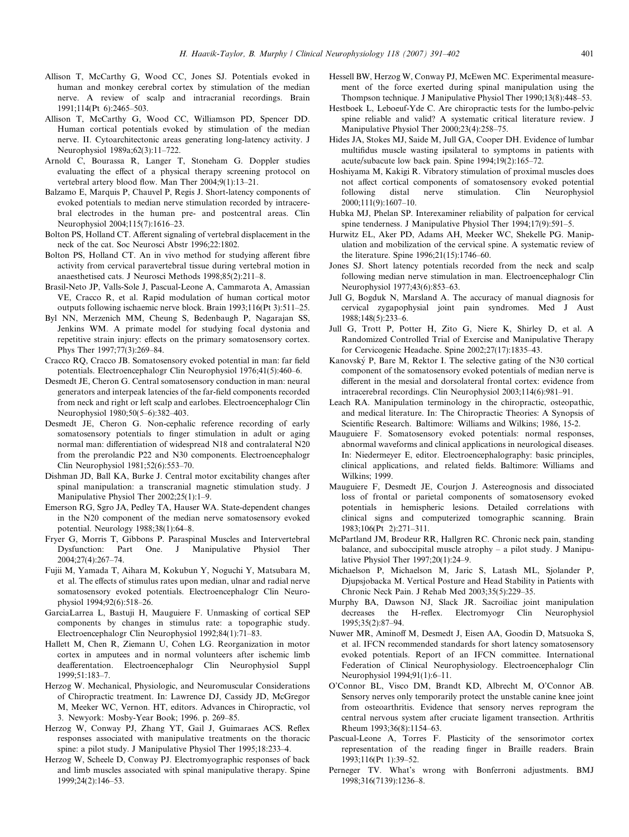- <span id="page-10-0"></span>Allison T, McCarthy G, Wood CC, Jones SJ. Potentials evoked in human and monkey cerebral cortex by stimulation of the median nerve. A review of scalp and intracranial recordings. Brain 1991;114(Pt 6):2465–503.
- Allison T, McCarthy G, Wood CC, Williamson PD, Spencer DD. Human cortical potentials evoked by stimulation of the median nerve. II. Cytoarchitectonic areas generating long-latency activity. J Neurophysiol 1989a;62(3):11–722.
- Arnold C, Bourassa R, Langer T, Stoneham G. Doppler studies evaluating the effect of a physical therapy screening protocol on vertebral artery blood flow. Man Ther 2004;9(1):13–21.
- Balzamo E, Marquis P, Chauvel P, Regis J. Short-latency components of evoked potentials to median nerve stimulation recorded by intracerebral electrodes in the human pre- and postcentral areas. Clin Neurophysiol 2004;115(7):1616–23.
- Bolton PS, Holland CT. Afferent signaling of vertebral displacement in the neck of the cat. Soc Neurosci Abstr 1996;22:1802.
- Bolton PS, Holland CT. An in vivo method for studying afferent fibre activity from cervical paravertebral tissue during vertebral motion in anaesthetised cats. J Neurosci Methods 1998;85(2):211–8.
- Brasil-Neto JP, Valls-Sole J, Pascual-Leone A, Cammarota A, Amassian VE, Cracco R, et al. Rapid modulation of human cortical motor outputs following ischaemic nerve block. Brain 1993;116(Pt 3):511–25.
- Byl NN, Merzenich MM, Cheung S, Bedenbaugh P, Nagarajan SS, Jenkins WM. A primate model for studying focal dystonia and repetitive strain injury: effects on the primary somatosensory cortex. Phys Ther 1997;77(3):269–84.
- Cracco RQ, Cracco JB. Somatosensory evoked potential in man: far field potentials. Electroencephalogr Clin Neurophysiol 1976;41(5):460–6.
- Desmedt JE, Cheron G. Central somatosensory conduction in man: neural generators and interpeak latencies of the far-field components recorded from neck and right or left scalp and earlobes. Electroencephalogr Clin Neurophysiol 1980;50(5–6):382–403.
- Desmedt JE, Cheron G. Non-cephalic reference recording of early somatosensory potentials to finger stimulation in adult or aging normal man: differentiation of widespread N18 and contralateral N20 from the prerolandic P22 and N30 components. Electroencephalogr Clin Neurophysiol 1981;52(6):553–70.
- Dishman JD, Ball KA, Burke J. Central motor excitability changes after spinal manipulation: a transcranial magnetic stimulation study. J Manipulative Physiol Ther 2002;25(1):1–9.
- Emerson RG, Sgro JA, Pedley TA, Hauser WA. State-dependent changes in the N20 component of the median nerve somatosensory evoked potential. Neurology 1988;38(1):64–8.
- Fryer G, Morris T, Gibbons P. Paraspinal Muscles and Intervertebral Dysfunction: Part One. J Manipulative Physiol Ther 2004;27(4):267–74.
- Fujii M, Yamada T, Aihara M, Kokubun Y, Noguchi Y, Matsubara M, et al. The effects of stimulus rates upon median, ulnar and radial nerve somatosensory evoked potentials. Electroencephalogr Clin Neurophysiol 1994;92(6):518–26.
- GarciaLarrea L, Bastuji H, Mauguiere F. Unmasking of cortical SEP components by changes in stimulus rate: a topographic study. Electroencephalogr Clin Neurophysiol 1992;84(1):71–83.
- Hallett M, Chen R, Ziemann U, Cohen LG. Reorganization in motor cortex in amputees and in normal volunteers after ischemic limb deafferentation. Electroencephalogr Clin Neurophysiol Suppl 1999;51:183–7.
- Herzog W. Mechanical, Physiologic, and Neuromuscular Considerations of Chiropractic treatment. In: Lawrence DJ, Cassidy JD, McGregor M, Meeker WC, Vernon. HT, editors. Advances in Chiropractic, vol 3. Newyork: Mosby-Year Book; 1996. p. 269–85.
- Herzog W, Conway PJ, Zhang YT, Gail J, Guimaraes ACS. Reflex responses associated with manipulative treatments on the thoracic spine: a pilot study. J Manipulative Physiol Ther 1995;18:233–4.
- Herzog W, Scheele D, Conway PJ. Electromyographic responses of back and limb muscles associated with spinal manipulative therapy. Spine 1999;24(2):146–53.
- Hessell BW, Herzog W, Conway PJ, McEwen MC. Experimental measurement of the force exerted during spinal manipulation using the Thompson technique. J Manipulative Physiol Ther 1990;13(8):448–53.
- Hestboek L, Leboeuf-Yde C. Are chiropractic tests for the lumbo-pelvic spine reliable and valid? A systematic critical literature review. J Manipulative Physiol Ther 2000;23(4):258–75.
- Hides JA, Stokes MJ, Saide M, Jull GA, Cooper DH. Evidence of lumbar multifidus muscle wasting ipsilateral to symptoms in patients with acute/subacute low back pain. Spine 1994;19(2):165–72.
- Hoshiyama M, Kakigi R. Vibratory stimulation of proximal muscles does not affect cortical components of somatosensory evoked potential following distal nerve stimulation. Clin Neurophysiol 2000;111(9):1607–10.
- Hubka MJ, Phelan SP. Interexaminer reliability of palpation for cervical spine tenderness. J Manipulative Physiol Ther 1994;17(9):591–5.
- Hurwitz EL, Aker PD, Adams AH, Meeker WC, Shekelle PG. Manipulation and mobilization of the cervical spine. A systematic review of the literature. Spine 1996;21(15):1746–60.
- Jones SJ. Short latency potentials recorded from the neck and scalp following median nerve stimulation in man. Electroencephalogr Clin Neurophysiol 1977;43(6):853–63.
- Jull G, Bogduk N, Marsland A. The accuracy of manual diagnosis for cervical zygapophysial joint pain syndromes. Med J Aust 1988;148(5):233–6.
- Jull G, Trott P, Potter H, Zito G, Niere K, Shirley D, et al. A Randomized Controlled Trial of Exercise and Manipulative Therapy for Cervicogenic Headache. Spine 2002;27(17):1835–43.
- Kanovsky´ P, Bare M, Rektor I. The selective gating of the N30 cortical component of the somatosensory evoked potentials of median nerve is different in the mesial and dorsolateral frontal cortex: evidence from intracerebral recordings. Clin Neurophysiol 2003;114(6):981–91.
- Leach RA. Manipulation terminology in the chiropractic, osteopathic, and medical literature. In: The Chiropractic Theories: A Synopsis of Scientific Research. Baltimore: Williams and Wilkins; 1986, 15-2.
- Mauguiere F. Somatosensory evoked potentials: normal responses, abnormal waveforms and clinical applications in neurological diseases. In: Niedermeyer E, editor. Electroencephalography: basic principles, clinical applications, and related fields. Baltimore: Williams and Wilkins; 1999.
- Mauguiere F, Desmedt JE, Courjon J. Astereognosis and dissociated loss of frontal or parietal components of somatosensory evoked potentials in hemispheric lesions. Detailed correlations with clinical signs and computerized tomographic scanning. Brain 1983;106(Pt 2):271–311.
- McPartland JM, Brodeur RR, Hallgren RC. Chronic neck pain, standing balance, and suboccipital muscle atrophy – a pilot study. J Manipulative Physiol Ther 1997;20(1):24–9.
- Michaelson P, Michaelson M, Jaric S, Latash ML, Sjolander P, Djupsjobacka M. Vertical Posture and Head Stability in Patients with Chronic Neck Pain. J Rehab Med 2003;35(5):229–35.
- Murphy BA, Dawson NJ, Slack JR. Sacroiliac joint manipulation decreases the H-reflex. Electromyogr Clin Neurophysiol 1995;35(2):87–94.
- Nuwer MR, Aminoff M, Desmedt J, Eisen AA, Goodin D, Matsuoka S, et al. IFCN recommended standards for short latency somatosensory evoked potentials. Report of an IFCN committee. International Federation of Clinical Neurophysiology. Electroencephalogr Clin Neurophysiol 1994;91(1):6–11.
- O'Connor BL, Visco DM, Brandt KD, Albrecht M, O'Connor AB. Sensory nerves only temporarily protect the unstable canine knee joint from osteoarthritis. Evidence that sensory nerves reprogram the central nervous system after cruciate ligament transection. Arthritis Rheum 1993;36(8):1154–63.
- Pascual-Leone A, Torres F. Plasticity of the sensorimotor cortex representation of the reading finger in Braille readers. Brain 1993;116(Pt 1):39–52.
- Perneger TV. What's wrong with Bonferroni adjustments. BMJ 1998;316(7139):1236–8.